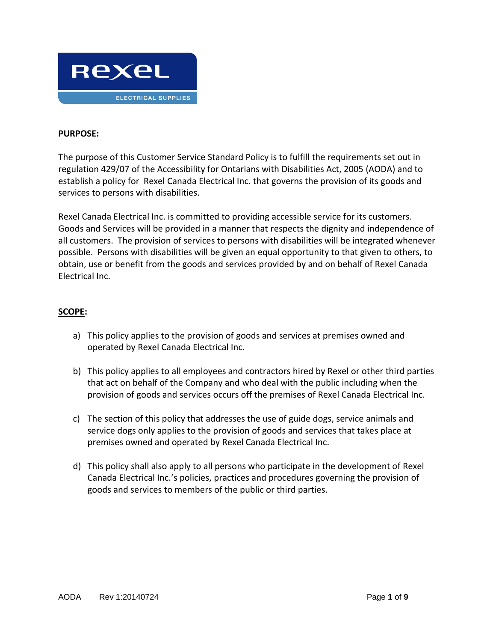

# **PURPOSE:**

The purpose of this Customer Service Standard Policy is to fulfill the requirements set out in regulation 429/07 of the Accessibility for Ontarians with Disabilities Act, 2005 (AODA) and to establish a policy for Rexel Canada Electrical Inc. that governs the provision of its goods and services to persons with disabilities.

Rexel Canada Electrical Inc. is committed to providing accessible service for its customers. Goods and Services will be provided in a manner that respects the dignity and independence of all customers. The provision of services to persons with disabilities will be integrated whenever possible. Persons with disabilities will be given an equal opportunity to that given to others, to obtain, use or benefit from the goods and services provided by and on behalf of Rexel Canada Electrical Inc.

#### **SCOPE:**

- a) This policy applies to the provision of goods and services at premises owned and operated by Rexel Canada Electrical Inc.
- b) This policy applies to all employees and contractors hired by Rexel or other third parties that act on behalf of the Company and who deal with the public including when the provision of goods and services occurs off the premises of Rexel Canada Electrical Inc.
- c) The section of this policy that addresses the use of guide dogs, service animals and service dogs only applies to the provision of goods and services that takes place at premises owned and operated by Rexel Canada Electrical Inc.
- d) This policy shall also apply to all persons who participate in the development of Rexel Canada Electrical Inc.'s policies, practices and procedures governing the provision of goods and services to members of the public or third parties.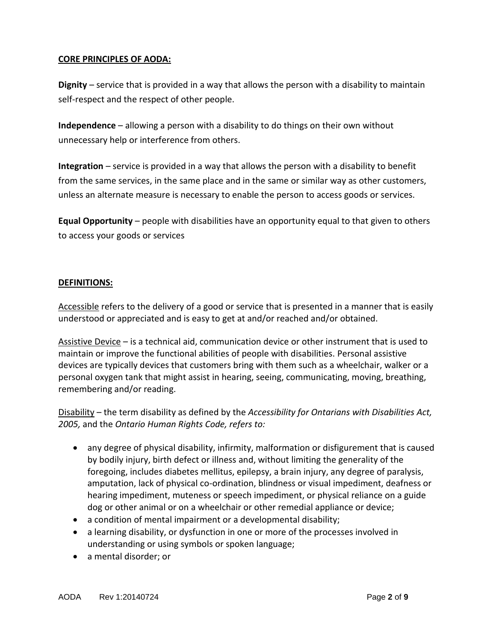# **CORE PRINCIPLES OF AODA:**

**Dignity** – service that is provided in a way that allows the person with a disability to maintain self-respect and the respect of other people.

**Independence** – allowing a person with a disability to do things on their own without unnecessary help or interference from others.

**Integration** – service is provided in a way that allows the person with a disability to benefit from the same services, in the same place and in the same or similar way as other customers, unless an alternate measure is necessary to enable the person to access goods or services.

**Equal Opportunity** – people with disabilities have an opportunity equal to that given to others to access your goods or services

# **DEFINITIONS:**

Accessible refers to the delivery of a good or service that is presented in a manner that is easily understood or appreciated and is easy to get at and/or reached and/or obtained.

Assistive Device – is a technical aid, communication device or other instrument that is used to maintain or improve the functional abilities of people with disabilities. Personal assistive devices are typically devices that customers bring with them such as a wheelchair, walker or a personal oxygen tank that might assist in hearing, seeing, communicating, moving, breathing, remembering and/or reading.

Disability – the term disability as defined by the *Accessibility for Ontarians with Disabilities Act, 2005,* and the *Ontario Human Rights Code, refers to:*

- any degree of physical disability, infirmity, malformation or disfigurement that is caused by bodily injury, birth defect or illness and, without limiting the generality of the foregoing, includes diabetes mellitus, epilepsy, a brain injury, any degree of paralysis, amputation, lack of physical co-ordination, blindness or visual impediment, deafness or hearing impediment, muteness or speech impediment, or physical reliance on a guide dog or other animal or on a wheelchair or other remedial appliance or device;
- a condition of mental impairment or a developmental disability;
- a learning disability, or dysfunction in one or more of the processes involved in understanding or using symbols or spoken language;
- a mental disorder; or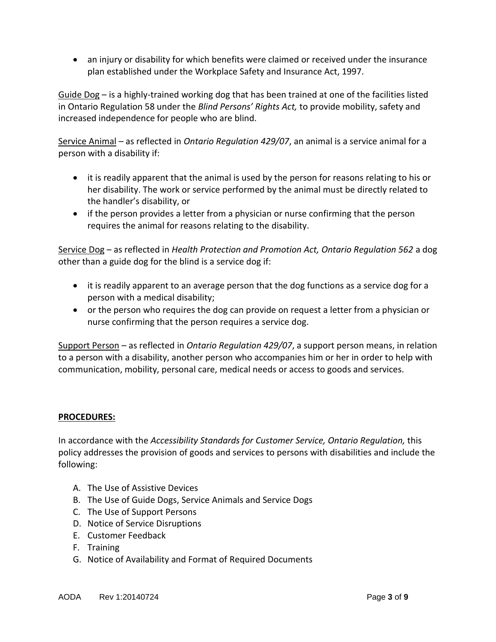an injury or disability for which benefits were claimed or received under the insurance plan established under the Workplace Safety and Insurance Act, 1997.

Guide Dog – is a highly-trained working dog that has been trained at one of the facilities listed in Ontario Regulation 58 under the *Blind Persons' Rights Act,* to provide mobility, safety and increased independence for people who are blind.

Service Animal – as reflected in *Ontario Regulation 429/07*, an animal is a service animal for a person with a disability if:

- it is readily apparent that the animal is used by the person for reasons relating to his or her disability. The work or service performed by the animal must be directly related to the handler's disability, or
- if the person provides a letter from a physician or nurse confirming that the person requires the animal for reasons relating to the disability.

Service Dog – as reflected in *Health Protection and Promotion Act, Ontario Regulation 562* a dog other than a guide dog for the blind is a service dog if:

- it is readily apparent to an average person that the dog functions as a service dog for a person with a medical disability;
- or the person who requires the dog can provide on request a letter from a physician or nurse confirming that the person requires a service dog.

Support Person – as reflected in *Ontario Regulation 429/07*, a support person means, in relation to a person with a disability, another person who accompanies him or her in order to help with communication, mobility, personal care, medical needs or access to goods and services.

# **PROCEDURES:**

In accordance with the *Accessibility Standards for Customer Service, Ontario Regulation,* this policy addresses the provision of goods and services to persons with disabilities and include the following:

- A. The Use of Assistive Devices
- B. The Use of Guide Dogs, Service Animals and Service Dogs
- C. The Use of Support Persons
- D. Notice of Service Disruptions
- E. Customer Feedback
- F. Training
- G. Notice of Availability and Format of Required Documents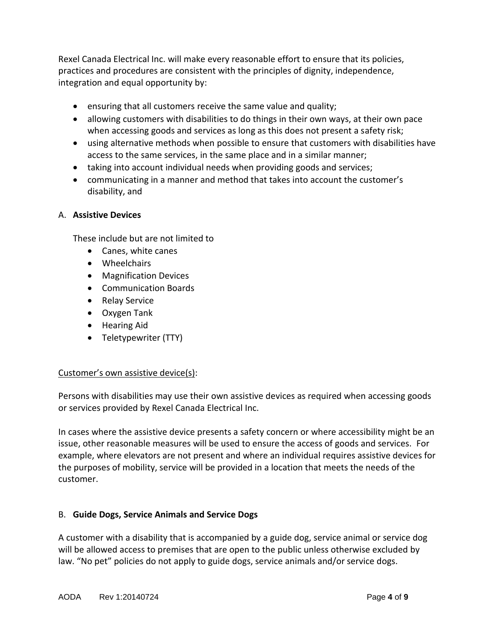Rexel Canada Electrical Inc. will make every reasonable effort to ensure that its policies, practices and procedures are consistent with the principles of dignity, independence, integration and equal opportunity by:

- ensuring that all customers receive the same value and quality;
- allowing customers with disabilities to do things in their own ways, at their own pace when accessing goods and services as long as this does not present a safety risk;
- using alternative methods when possible to ensure that customers with disabilities have access to the same services, in the same place and in a similar manner;
- taking into account individual needs when providing goods and services;
- communicating in a manner and method that takes into account the customer's disability, and

# A. **Assistive Devices**

These include but are not limited to

- Canes, white canes
- Wheelchairs
- Magnification Devices
- Communication Boards
- Relay Service
- Oxygen Tank
- Hearing Aid
- Teletypewriter (TTY)

# Customer's own assistive device(s):

Persons with disabilities may use their own assistive devices as required when accessing goods or services provided by Rexel Canada Electrical Inc.

In cases where the assistive device presents a safety concern or where accessibility might be an issue, other reasonable measures will be used to ensure the access of goods and services. For example, where elevators are not present and where an individual requires assistive devices for the purposes of mobility, service will be provided in a location that meets the needs of the customer.

# B. **Guide Dogs, Service Animals and Service Dogs**

A customer with a disability that is accompanied by a guide dog, service animal or service dog will be allowed access to premises that are open to the public unless otherwise excluded by law. "No pet" policies do not apply to guide dogs, service animals and/or service dogs.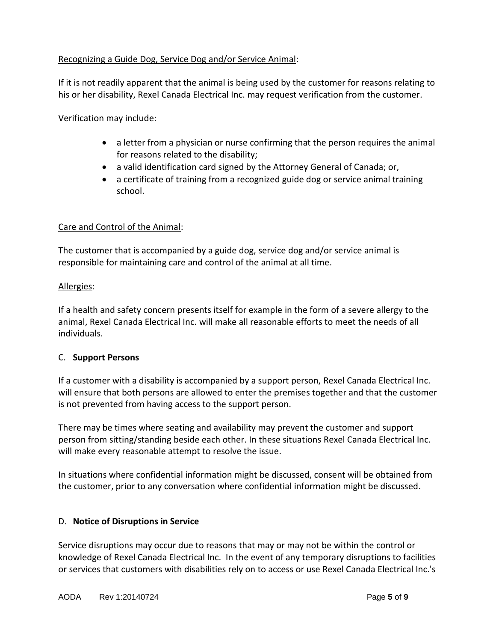# Recognizing a Guide Dog, Service Dog and/or Service Animal:

If it is not readily apparent that the animal is being used by the customer for reasons relating to his or her disability, Rexel Canada Electrical Inc. may request verification from the customer.

Verification may include:

- a letter from a physician or nurse confirming that the person requires the animal for reasons related to the disability;
- a valid identification card signed by the Attorney General of Canada; or,
- a certificate of training from a recognized guide dog or service animal training school.

# Care and Control of the Animal:

The customer that is accompanied by a guide dog, service dog and/or service animal is responsible for maintaining care and control of the animal at all time.

#### Allergies:

If a health and safety concern presents itself for example in the form of a severe allergy to the animal, Rexel Canada Electrical Inc. will make all reasonable efforts to meet the needs of all individuals.

#### C. **Support Persons**

If a customer with a disability is accompanied by a support person, Rexel Canada Electrical Inc. will ensure that both persons are allowed to enter the premises together and that the customer is not prevented from having access to the support person.

There may be times where seating and availability may prevent the customer and support person from sitting/standing beside each other. In these situations Rexel Canada Electrical Inc. will make every reasonable attempt to resolve the issue.

In situations where confidential information might be discussed, consent will be obtained from the customer, prior to any conversation where confidential information might be discussed.

#### D. **Notice of Disruptions in Service**

Service disruptions may occur due to reasons that may or may not be within the control or knowledge of Rexel Canada Electrical Inc. In the event of any temporary disruptions to facilities or services that customers with disabilities rely on to access or use Rexel Canada Electrical Inc.'s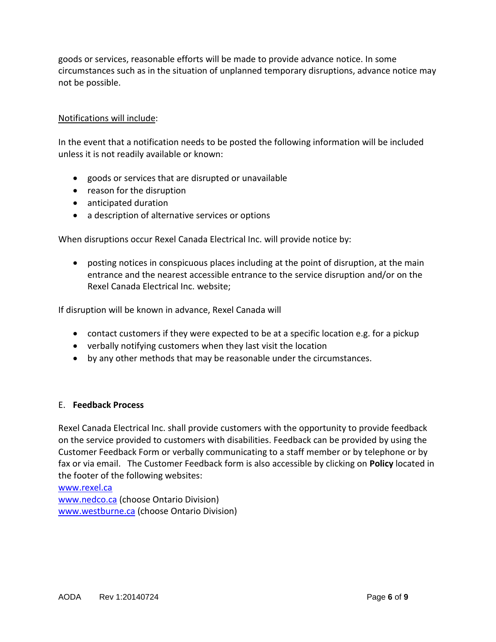goods or services, reasonable efforts will be made to provide advance notice. In some circumstances such as in the situation of unplanned temporary disruptions, advance notice may not be possible.

# Notifications will include:

In the event that a notification needs to be posted the following information will be included unless it is not readily available or known:

- goods or services that are disrupted or unavailable
- reason for the disruption
- anticipated duration
- a description of alternative services or options

When disruptions occur Rexel Canada Electrical Inc. will provide notice by:

 posting notices in conspicuous places including at the point of disruption, at the main entrance and the nearest accessible entrance to the service disruption and/or on the Rexel Canada Electrical Inc. website;

If disruption will be known in advance, Rexel Canada will

- contact customers if they were expected to be at a specific location e.g. for a pickup
- verbally notifying customers when they last visit the location
- by any other methods that may be reasonable under the circumstances.

#### E. **Feedback Process**

Rexel Canada Electrical Inc. shall provide customers with the opportunity to provide feedback on the service provided to customers with disabilities. Feedback can be provided by using the Customer Feedback Form or verbally communicating to a staff member or by telephone or by fax or via email. The Customer Feedback form is also accessible by clicking on **Policy** located in the footer of the following websites:

[www.rexel.ca](http://www.rexel.ca/) [www.nedco.ca](http://www.nedco.ca/) (choose Ontario Division) [www.westburne.ca](http://www.westburne.ca/) (choose Ontario Division)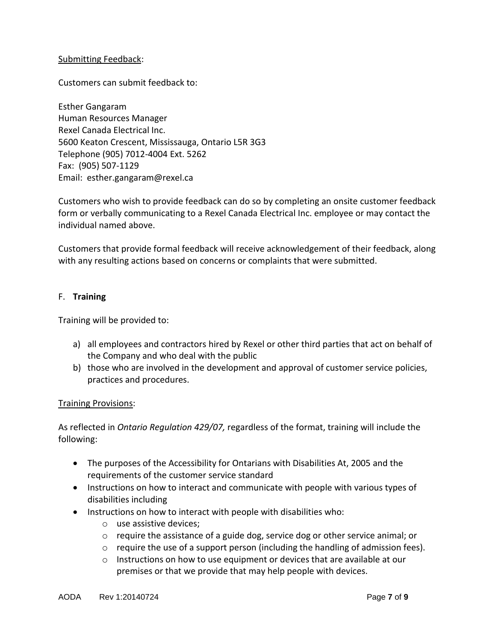#### Submitting Feedback:

Customers can submit feedback to:

Esther Gangaram Human Resources Manager Rexel Canada Electrical Inc. 5600 Keaton Crescent, Mississauga, Ontario L5R 3G3 Telephone (905) 7012-4004 Ext. 5262 Fax: (905) 507-1129 Email: esther.gangaram@rexel.ca

Customers who wish to provide feedback can do so by completing an onsite customer feedback form or verbally communicating to a Rexel Canada Electrical Inc. employee or may contact the individual named above.

Customers that provide formal feedback will receive acknowledgement of their feedback, along with any resulting actions based on concerns or complaints that were submitted.

#### F. **Training**

Training will be provided to:

- a) all employees and contractors hired by Rexel or other third parties that act on behalf of the Company and who deal with the public
- b) those who are involved in the development and approval of customer service policies, practices and procedures.

#### Training Provisions:

As reflected in *Ontario Regulation 429/07,* regardless of the format, training will include the following:

- The purposes of the Accessibility for Ontarians with Disabilities At, 2005 and the requirements of the customer service standard
- Instructions on how to interact and communicate with people with various types of disabilities including
- Instructions on how to interact with people with disabilities who:
	- o use assistive devices;
	- $\circ$  require the assistance of a guide dog, service dog or other service animal; or
	- o require the use of a support person (including the handling of admission fees).
	- $\circ$  Instructions on how to use equipment or devices that are available at our premises or that we provide that may help people with devices.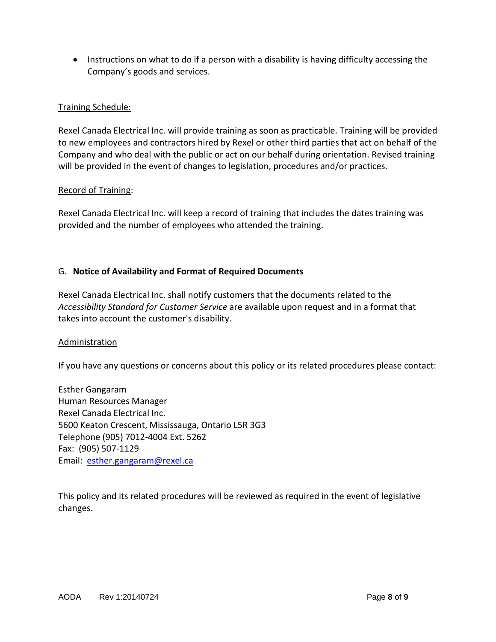• Instructions on what to do if a person with a disability is having difficulty accessing the Company's goods and services.

# Training Schedule:

Rexel Canada Electrical Inc. will provide training as soon as practicable. Training will be provided to new employees and contractors hired by Rexel or other third parties that act on behalf of the Company and who deal with the public or act on our behalf during orientation. Revised training will be provided in the event of changes to legislation, procedures and/or practices.

#### Record of Training:

Rexel Canada Electrical Inc. will keep a record of training that includes the dates training was provided and the number of employees who attended the training.

#### G. **Notice of Availability and Format of Required Documents**

Rexel Canada Electrical Inc. shall notify customers that the documents related to the *Accessibility Standard for Customer Service* are available upon request and in a format that takes into account the customer's disability.

#### Administration

If you have any questions or concerns about this policy or its related procedures please contact:

Esther Gangaram Human Resources Manager Rexel Canada Electrical Inc. 5600 Keaton Crescent, Mississauga, Ontario L5R 3G3 Telephone (905) 7012-4004 Ext. 5262 Fax: (905) 507-1129 Email: [esther.gangaram@rexel.ca](mailto:esther.gangaram@rexel.ca)

This policy and its related procedures will be reviewed as required in the event of legislative changes.